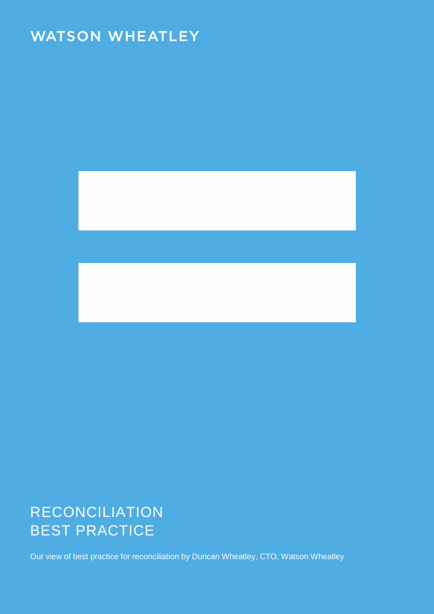# **WATSON WHEATLEY**



# RECONCILIATION BEST PRACTICE

Our view of best practice for reconciliation by Duncan Wheatley, CTO, Watson Wheatley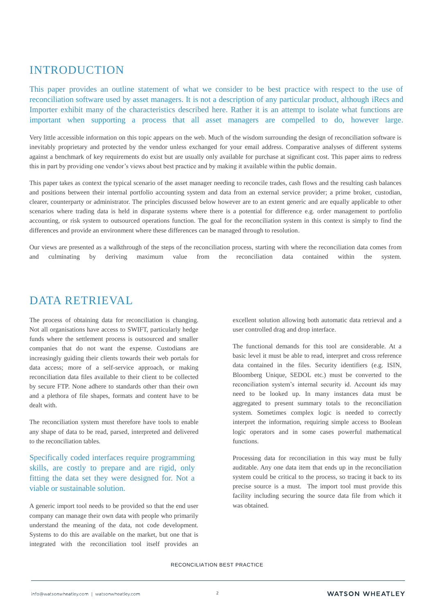## INTRODUCTION

This paper provides an outline statement of what we consider to be best practice with respect to the use of reconciliation software used by asset managers. It is not a description of any particular product, although iRecs and Importer exhibit many of the characteristics described here. Rather it is an attempt to isolate what functions are important when supporting a process that all asset managers are compelled to do, however large.

Very little accessible information on this topic appears on the web. Much of the wisdom surrounding the design of reconciliation software is inevitably proprietary and protected by the vendor unless exchanged for your email address. Comparative analyses of different systems against a benchmark of key requirements do exist but are usually only available for purchase at significant cost. This paper aims to redress this in part by providing one vendor's views about best practice and by making it available within the public domain.

This paper takes as context the typical scenario of the asset manager needing to reconcile trades, cash flows and the resulting cash balances and positions between their internal portfolio accounting system and data from an external service provider; a prime broker, custodian, clearer, counterparty or administrator. The principles discussed below however are to an extent generic and are equally applicable to other scenarios where trading data is held in disparate systems where there is a potential for difference e.g. order management to portfolio accounting, or risk system to outsourced operations function. The goal for the reconciliation system in this context is simply to find the differences and provide an environment where these differences can be managed through to resolution.

Our views are presented as a walkthrough of the steps of the reconciliation process, starting with where the reconciliation data comes from and culminating by deriving maximum value from the reconciliation data contained within the system.

### DATA RETRIEVAL

The process of obtaining data for reconciliation is changing. Not all organisations have access to SWIFT, particularly hedge funds where the settlement process is outsourced and smaller companies that do not want the expense. Custodians are increasingly guiding their clients towards their web portals for data access; more of a self-service approach, or making reconciliation data files available to their client to be collected by secure FTP. None adhere to standards other than their own and a plethora of file shapes, formats and content have to be dealt with.

The reconciliation system must therefore have tools to enable any shape of data to be read, parsed, interpreted and delivered to the reconciliation tables.

Specifically coded interfaces require programming skills, are costly to prepare and are rigid, only fitting the data set they were designed for. Not a viable or sustainable solution.

A generic import tool needs to be provided so that the end user company can manage their own data with people who primarily understand the meaning of the data, not code development. Systems to do this are available on the market, but one that is integrated with the reconciliation tool itself provides an excellent solution allowing both automatic data retrieval and a user controlled drag and drop interface.

The functional demands for this tool are considerable. At a basic level it must be able to read, interpret and cross reference data contained in the files. Security identifiers (e.g. ISIN, Bloomberg Unique, SEDOL etc.) must be converted to the reconciliation system's internal security id. Account ids may need to be looked up. In many instances data must be aggregated to present summary totals to the reconciliation system. Sometimes complex logic is needed to correctly interpret the information, requiring simple access to Boolean logic operators and in some cases powerful mathematical functions.

Processing data for reconciliation in this way must be fully auditable. Any one data item that ends up in the reconciliation system could be critical to the process, so tracing it back to its precise source is a must. The import tool must provide this facility including securing the source data file from which it was obtained.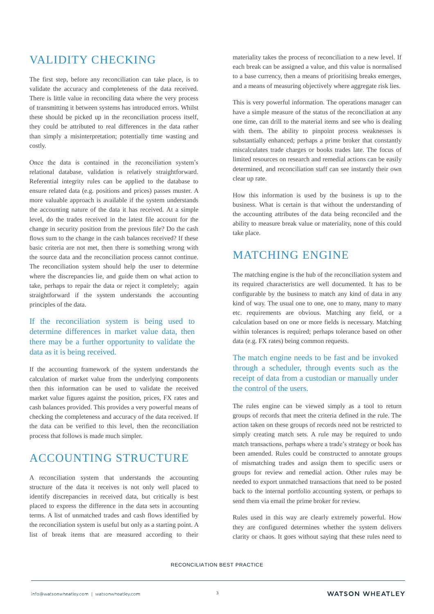# VALIDITY CHECKING

The first step, before any reconciliation can take place, is to validate the accuracy and completeness of the data received. There is little value in reconciling data where the very process of transmitting it between systems has introduced errors. Whilst these should be picked up in the reconciliation process itself, they could be attributed to real differences in the data rather than simply a misinterpretation; potentially time wasting and costly.

Once the data is contained in the reconciliation system's relational database, validation is relatively straightforward. Referential integrity rules can be applied to the database to ensure related data (e.g. positions and prices) passes muster. A more valuable approach is available if the system understands the accounting nature of the data it has received. At a simple level, do the trades received in the latest file account for the change in security position from the previous file? Do the cash flows sum to the change in the cash balances received? If these basic criteria are not met, then there is something wrong with the source data and the reconciliation process cannot continue. The reconciliation system should help the user to determine where the discrepancies lie, and guide them on what action to take, perhaps to repair the data or reject it completely; again straightforward if the system understands the accounting principles of the data.

If the reconciliation system is being used to determine differences in market value data, then there may be a further opportunity to validate the data as it is being received.

If the accounting framework of the system understands the calculation of market value from the underlying components then this information can be used to validate the received market value figures against the position, prices, FX rates and cash balances provided. This provides a very powerful means of checking the completeness and accuracy of the data received. If the data can be verified to this level, then the reconciliation process that follows is made much simpler.

### ACCOUNTING STRUCTURE

A reconciliation system that understands the accounting structure of the data it receives is not only well placed to identify discrepancies in received data, but critically is best placed to express the difference in the data sets in accounting terms. A list of unmatched trades and cash flows identified by the reconciliation system is useful but only as a starting point. A list of break items that are measured according to their

materiality takes the process of reconciliation to a new level. If each break can be assigned a value, and this value is normalised to a base currency, then a means of prioritising breaks emerges, and a means of measuring objectively where aggregate risk lies.

This is very powerful information. The operations manager can have a simple measure of the status of the reconciliation at any one time, can drill to the material items and see who is dealing with them. The ability to pinpoint process weaknesses is substantially enhanced; perhaps a prime broker that constantly miscalculates trade charges or books trades late. The focus of limited resources on research and remedial actions can be easily determined, and reconciliation staff can see instantly their own clear up rate.

How this information is used by the business is up to the business. What is certain is that without the understanding of the accounting attributes of the data being reconciled and the ability to measure break value or materiality, none of this could take place.

## MATCHING ENGINE

The matching engine is the hub of the reconciliation system and its required characteristics are well documented. It has to be configurable by the business to match any kind of data in any kind of way. The usual one to one, one to many, many to many etc. requirements are obvious. Matching any field, or a calculation based on one or more fields is necessary. Matching within tolerances is required; perhaps tolerance based on other data (e.g. FX rates) being common requests.

#### The match engine needs to be fast and be invoked through a scheduler, through events such as the receipt of data from a custodian or manually under the control of the users.

The rules engine can be viewed simply as a tool to return groups of records that meet the criteria defined in the rule. The action taken on these groups of records need not be restricted to simply creating match sets. A rule may be required to undo match transactions, perhaps where a trade's strategy or book has been amended. Rules could be constructed to annotate groups of mismatching trades and assign them to specific users or groups for review and remedial action. Other rules may be needed to export unmatched transactions that need to be posted back to the internal portfolio accounting system, or perhaps to send them via email the prime broker for review.

Rules used in this way are clearly extremely powerful. How they are configured determines whether the system delivers clarity or chaos. It goes without saying that these rules need to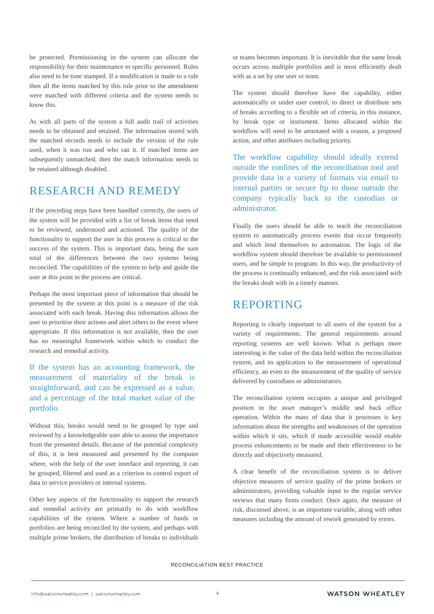be protected. Permissioning in the system can allocate the responsibility for their maintenance to specific personnel. Rules also need to be time stamped. If a modification is made to a rule then all the items matched by this rule prior to the amendment were matched with different criteria and the system needs to know this.

As with all parts of the system a full audit trail of activities needs to be obtained and retained. The information stored with the matched records needs to include the version of the rule used, when it was run and who ran it. If matched items are subsequently unmatched, then the match information needs to be retained although disabled.

#### RESEARCH AND REMEDY

If the preceding steps have been handled correctly, the users of the system will be provided with a list of break items that need to be reviewed, understood and actioned. The quality of the functionality to support the user in this process is critical to the success of the system. This is important data, being the sum total of the differences between the two systems being reconciled. The capabilities of the system to help and guide the user at this point in the process are critical.

Perhaps the most important piece of information that should be presented by the system at this point is a measure of the risk associated with each break. Having this information allows the user to prioritise their actions and alert others to the event where appropriate. If this information is not available, then the user has no meaningful framework within which to conduct the research and remedial activity.

If the system has an accounting framework, the measurement of materiality of the break is straightforward, and can be expressed as a value, and a percentage of the total market value of the portfolio.

Without this, breaks would need to be grouped by type and reviewed by a knowledgeable user able to assess the importance from the presented details. Because of the potential complexity of this, it is best measured and presented by the computer where, with the help of the user interface and reporting, it can be grouped, filtered and used as a criterion to control export of data to service providers or internal systems.

Other key aspects of the functionality to support the research and remedial activity are primarily to do with workflow capabilities of the system. Where a number of funds or portfolios are being reconciled by the system, and perhaps with multiple prime brokers, the distribution of breaks to individuals

or teams becomes important. It is inevitable that the same break occurs across multiple portfolios and is most efficiently dealt with as a set by one user or team.

The system should therefore have the capability, either automatically or under user control, to direct or distribute sets of breaks according to a flexible set of criteria, in this instance, by break type or instrument. Items allocated within the workflow will need to be annotated with a reason, a proposed action, and other attributes including priority.

The workflow capability should ideally extend outside the confines of the reconciliation tool and provide data in a variety of formats via email to internal parties or secure ftp to those outside the company typically back to the custodian or administrator.

Finally the users should be able to teach the reconciliation system to automatically process events that occur frequently and which lend themselves to automation. The logic of the workflow system should therefore be available to permissioned users, and be simple to program. In this way, the productivity of the process is continually enhanced, and the risk associated with the breaks dealt with in a timely manner.

#### REPORTING

Reporting is clearly important to all users of the system for a variety of requirements. The general requirements around reporting systems are well known. What is perhaps more interesting is the value of the data held within the reconciliation system, and its application to the measurement of operational efficiency, an even to the measurement of the quality of service delivered by custodians or administrators.

The reconciliation system occupies a unique and privileged position in the asset manager's middle and back office operation. Within the mass of data that it processes is key information about the strengths and weaknesses of the operation within which it sits, which if made accessible would enable process enhancements to be made and their effectiveness to be directly and objectively measured.

A clear benefit of the reconciliation system is to deliver objective measures of service quality of the prime brokers or administrators, providing valuable input to the regular service reviews that many firms conduct. Once again, the measure of risk, discussed above, is an important variable, along with other measures including the amount of rework generated by errors.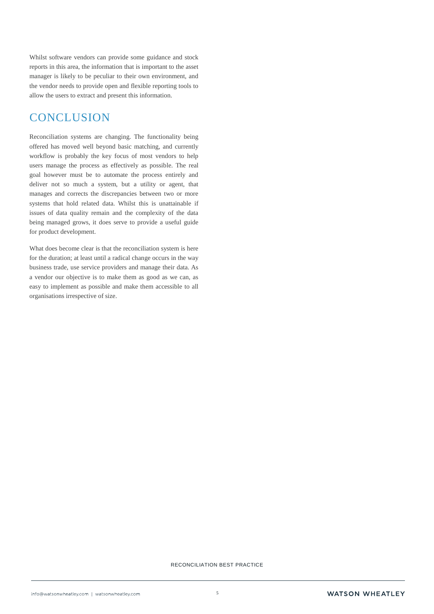Whilst software vendors can provide some guidance and stock reports in this area, the information that is important to the asset manager is likely to be peculiar to their own environment, and the vendor needs to provide open and flexible reporting tools to allow the users to extract and present this information.

### **CONCLUSION**

Reconciliation systems are changing. The functionality being offered has moved well beyond basic matching, and currently workflow is probably the key focus of most vendors to help users manage the process as effectively as possible. The real goal however must be to automate the process entirely and deliver not so much a system, but a utility or agent, that manages and corrects the discrepancies between two or more systems that hold related data. Whilst this is unattainable if issues of data quality remain and the complexity of the data being managed grows, it does serve to provide a useful guide for product development.

What does become clear is that the reconciliation system is here for the duration; at least until a radical change occurs in the way business trade, use service providers and manage their data. As a vendor our objective is to make them as good as we can, as easy to implement as possible and make them accessible to all organisations irrespective of size.